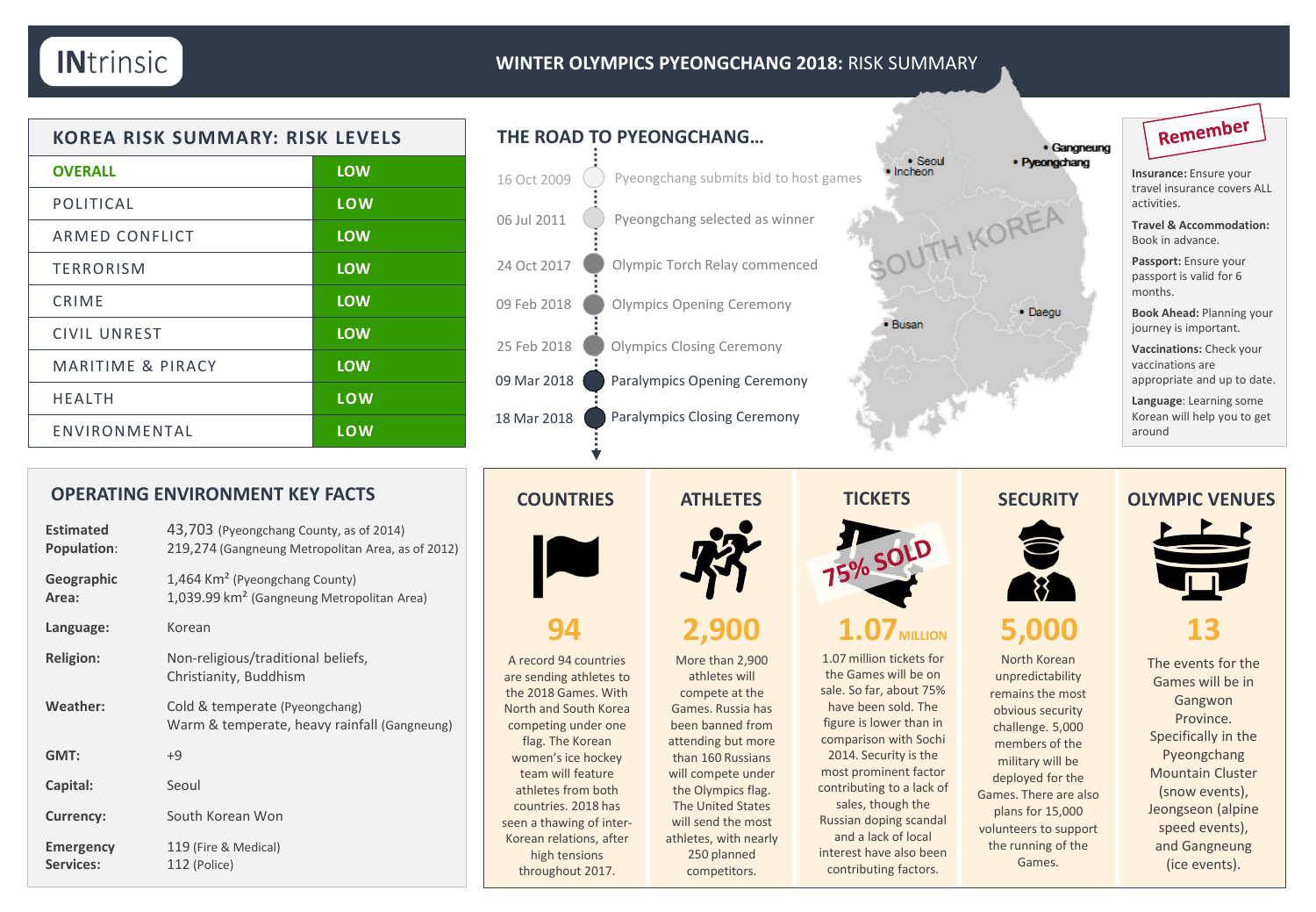### **WINTER OLYMPICS PYEONGCHANG 2018:** RISK SUMMARY

| <b>KOREA RISK SUMMARY: RISK LEVELS</b> |            |
|----------------------------------------|------------|
| <b>OVERALL</b>                         | <b>LOW</b> |
| POLITICAL                              | LOW        |
| ARMED CONFLICT                         | <b>LOW</b> |
| <b>TERRORISM</b>                       | <b>LOW</b> |
| CRIME                                  | <b>LOW</b> |
| CIVIL UNREST                           | <b>LOW</b> |
| MARITIME & PIRACY                      | <b>LOW</b> |
| <b>HFALTH</b>                          | LOW        |
| ENVIRONMENTAL                          | LOW        |

## **THE ROAD TO PYEONGCHANG…** Pyeongchang submits bid to host games Olympics Closing Ceremony Pyeongchang selected as winner Olympics Opening Ceremony 16 Oct 2009 06 Jul 2011 09 Mar 2018 18 Mar 2018 Paralympics Opening Ceremony Paralympics Closing Ceremony 24 Oct 2017 **Olympic Torch Relay commenced** 25 Feb 2018 09 Feb 2018

### **COUNTRIES ATHLETES SECURITY**



A record 94 countries are sending athletes to the 2018 Games. With North and South Korea competing under one flag. The Korean women's ice hockey team will feature athletes from both countries. 2018 has seen a thawing of inter-Korean relations, after high tensions throughout 2017.

athletes will compete at the Games. Russia has been banned from attending but more than 160 Russians will compete under the Olympics flag. The United States will send the most athletes, with nearly 250 planned



# Remember

**Insurance:** Ensure your travel insurance covers ALL activities.

**Travel & Accommodation:**  Book in advance.

**Passport:** Ensure your passport is valid for 6 months.

**Book Ahead:** Planning your journey is important.

**Vaccinations:** Check your vaccinations are appropriate and up to date.

**Language**: Learning some Korean will help you to get around

### **OLYMPIC VENUES**



**13**

North Korean unpredictability remains the most obvious security challenge. 5,000 members of the military will be deployed for the Games. There are also plans for 15,000 volunteers to support the running of the Games.

The events for the Games will be in Gangwon Province. Specifically in the Pyeongchang Mountain Cluster (snow events), Jeongseon (alpine speed events), and Gangneung (ice events).

## **OPERATING ENVIRONMENT KEY FACTS**

| <b>Estimated</b><br>Population: | 43,703 (Pyeongchang County, as of 2014)<br>219,274 (Gangneung Metropolitan Area, as of 2012)         |
|---------------------------------|------------------------------------------------------------------------------------------------------|
| Geographic<br>Area:             | 1,464 Km <sup>2</sup> (Pyeongchang County)<br>1,039.99 km <sup>2</sup> (Gangneung Metropolitan Area) |
| Language:                       | Korean                                                                                               |
| <b>Religion:</b>                | Non-religious/traditional beliefs,<br>Christianity, Buddhism                                         |
| Weather:                        | Cold & temperate (Pyeongchang)<br>Warm & temperate, heavy rainfall (Gangneung)                       |
| GMT:                            | $+9$                                                                                                 |
| Capital:                        | Seoul                                                                                                |
| <b>Currency:</b>                | South Korean Won                                                                                     |
| <b>Emergency</b><br>Services:   | 119 (Fire & Medical)<br>112 (Police)                                                                 |



More than 2,900 competitors.

**TICKETS**

# **94 2,900 1.07 1.07 <b>5,000**

1.07 million tickets for the Games will be on sale. So far, about 75% have been sold. The figure is lower than in comparison with Sochi 2014. Security is the most prominent factor contributing to a lack of sales, though the Russian doping scandal and a lack of local interest have also been contributing factors.